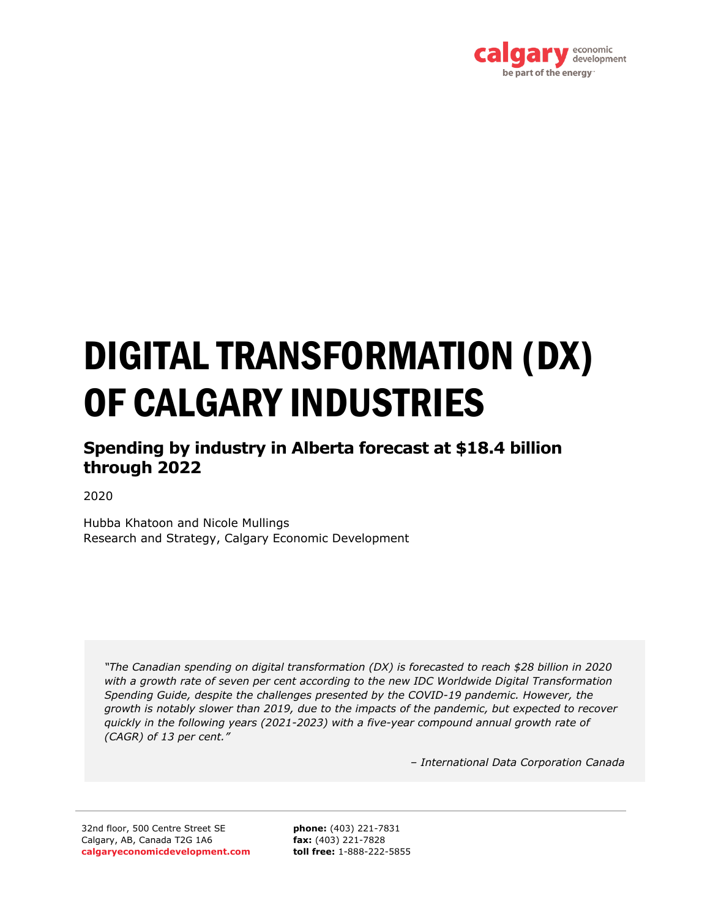

# DIGITAL TRANSFORMATION (DX) OF CALGARY INDUSTRIES

## **Spending by industry in Alberta forecast at \$18.4 billion through 2022**

2020

Hubba Khatoon and Nicole Mullings Research and Strategy, Calgary Economic Development

*"The Canadian spending on digital transformation (DX) is forecasted to reach \$28 billion in 2020 with a growth rate of seven per cent according to the new IDC Worldwide Digital Transformation Spending Guide, despite the challenges presented by the COVID-19 pandemic. However, the growth is notably slower than 2019, due to the impacts of the pandemic, but expected to recover quickly in the following years (2021-2023) with a five-year compound annual growth rate of (CAGR) of 13 per cent."*

*– International Data Corporation Canada* 

32nd floor, 500 Centre Street SE Calgary, AB, Canada T2G 1A6 **calgaryeconomicdevelopment.com**

**phone:** (403) 221-7831 **fax:** (403) 221-7828 **toll free:** 1-888-222-5855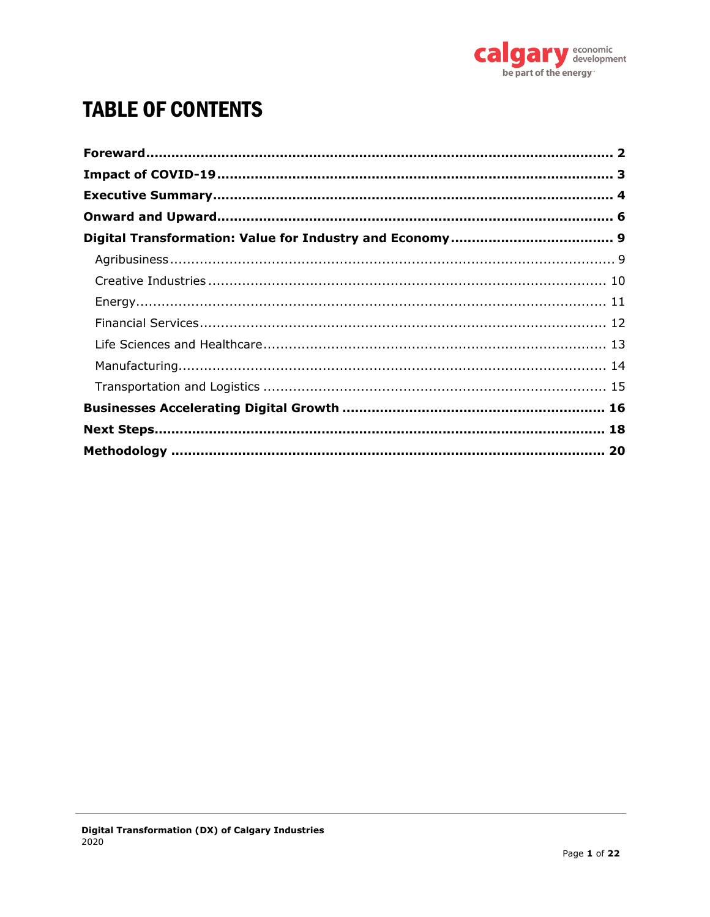

# **TABLE OF CONTENTS**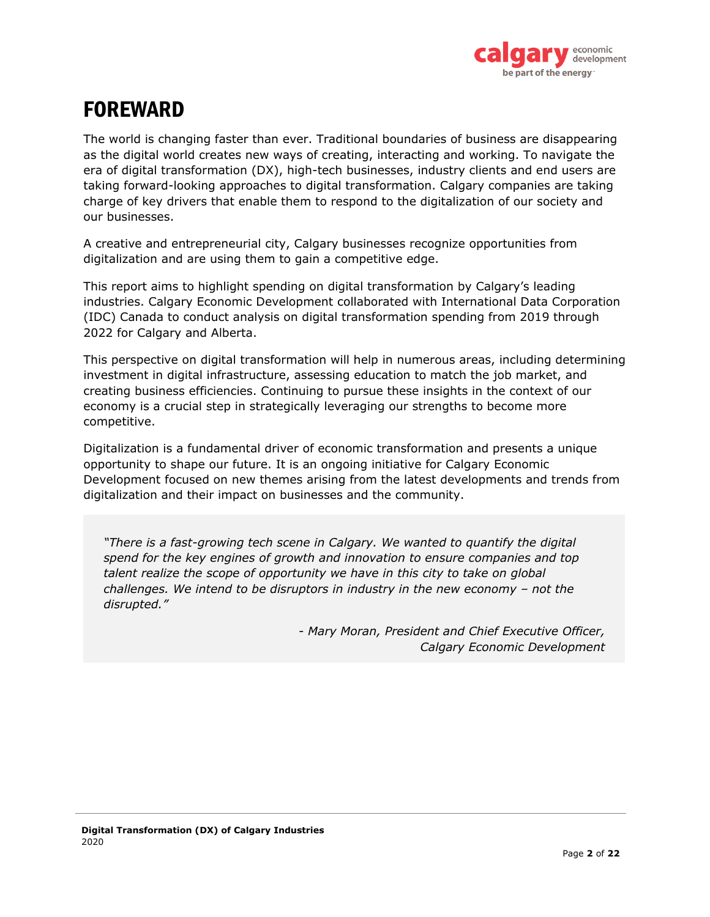

# <span id="page-2-0"></span>FOREWARD

The world is changing faster than ever. Traditional boundaries of business are disappearing as the digital world creates new ways of creating, interacting and working. To navigate the era of digital transformation (DX), high-tech businesses, industry clients and end users are taking forward-looking approaches to digital transformation. Calgary companies are taking charge of key drivers that enable them to respond to the digitalization of our society and our businesses.

A creative and entrepreneurial city, Calgary businesses recognize opportunities from digitalization and are using them to gain a competitive edge.

This report aims to highlight spending on digital transformation by Calgary's leading industries. Calgary Economic Development collaborated with International Data Corporation (IDC) Canada to conduct analysis on digital transformation spending from 2019 through 2022 for Calgary and Alberta.

This perspective on digital transformation will help in numerous areas, including determining investment in digital infrastructure, assessing education to match the job market, and creating business efficiencies. Continuing to pursue these insights in the context of our economy is a crucial step in strategically leveraging our strengths to become more competitive.

Digitalization is a fundamental driver of economic transformation and presents a unique opportunity to shape our future. It is an ongoing initiative for Calgary Economic Development focused on new themes arising from the latest developments and trends from digitalization and their impact on businesses and the community.

*"There is a fast-growing tech scene in Calgary. We wanted to quantify the digital spend for the key engines of growth and innovation to ensure companies and top talent realize the scope of opportunity we have in this city to take on global challenges. We intend to be disruptors in industry in the new economy – not the disrupted."*

> *- Mary Moran, President and Chief Executive Officer, Calgary Economic Development*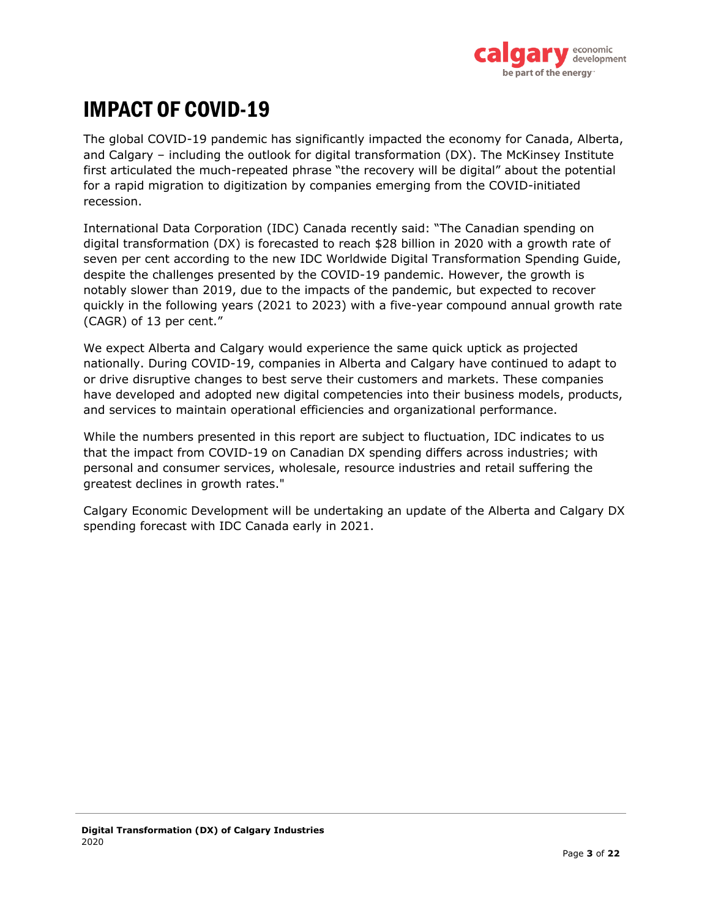

# <span id="page-3-0"></span>IMPACT OF COVID-19

The global COVID-19 pandemic has significantly impacted the economy for Canada, Alberta, and Calgary – including the outlook for digital transformation (DX). The McKinsey Institute first articulated the much-repeated phrase "the recovery will be digital" about the potential for a rapid migration to digitization by companies emerging from the COVID-initiated recession.

International Data Corporation (IDC) Canada recently said: "The Canadian spending on digital transformation (DX) is forecasted to reach \$28 billion in 2020 with a growth rate of seven per cent according to the new IDC Worldwide Digital Transformation Spending Guide, despite the challenges presented by the COVID-19 pandemic. However, the growth is notably slower than 2019, due to the impacts of the pandemic, but expected to recover quickly in the following years (2021 to 2023) with a five-year compound annual growth rate (CAGR) of 13 per cent."

We expect Alberta and Calgary would experience the same quick uptick as projected nationally. During COVID-19, companies in Alberta and Calgary have continued to adapt to or drive disruptive changes to best serve their customers and markets. These companies have developed and adopted new digital competencies into their business models, products, and services to maintain operational efficiencies and organizational performance.

While the numbers presented in this report are subject to fluctuation, IDC indicates to us that the impact from COVID-19 on Canadian DX spending differs across industries; with personal and consumer services, wholesale, resource industries and retail suffering the greatest declines in growth rates."

Calgary Economic Development will be undertaking an update of the Alberta and Calgary DX spending forecast with IDC Canada early in 2021.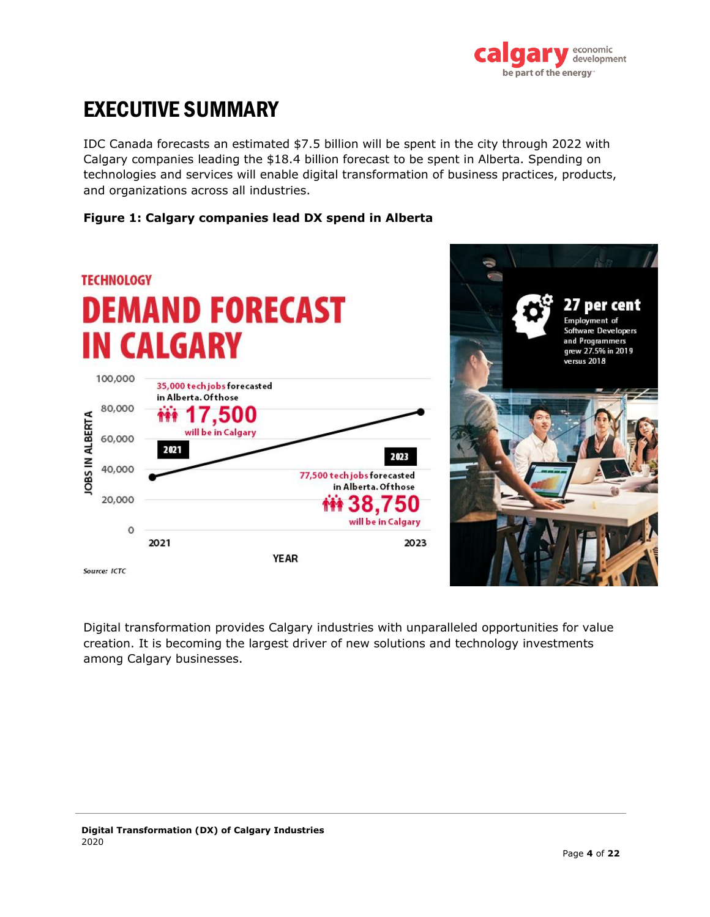

# <span id="page-4-0"></span>EXECUTIVE SUMMARY

IDC Canada forecasts an estimated \$7.5 billion will be spent in the city through 2022 with Calgary companies leading the \$18.4 billion forecast to be spent in Alberta. Spending on technologies and services will enable digital transformation of business practices, products, and organizations across all industries.

### **Figure 1: Calgary companies lead DX spend in Alberta**



Digital transformation provides Calgary industries with unparalleled opportunities for value creation. It is becoming the largest driver of new solutions and technology investments among Calgary businesses.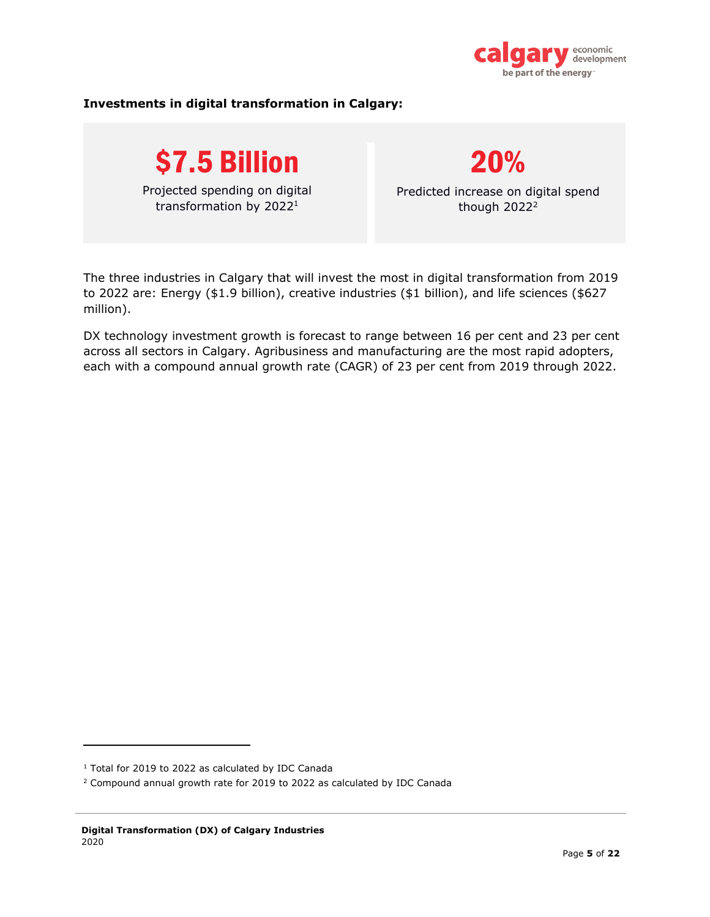

#### **Investments in digital transformation in Calgary:**





Predicted increase on digital spend though  $2022<sup>2</sup>$ 

The three industries in Calgary that will invest the most in digital transformation from 2019 to 2022 are: Energy (\$1.9 billion), creative industries (\$1 billion), and life sciences (\$627 million).

DX technology investment growth is forecast to range between 16 per cent and 23 per cent across all sectors in Calgary. Agribusiness and manufacturing are the most rapid adopters, each with a compound annual growth rate (CAGR) of 23 per cent from 2019 through 2022.

<sup>&</sup>lt;sup>1</sup> Total for 2019 to 2022 as calculated by IDC Canada

<sup>2</sup> Compound annual growth rate for 2019 to 2022 as calculated by IDC Canada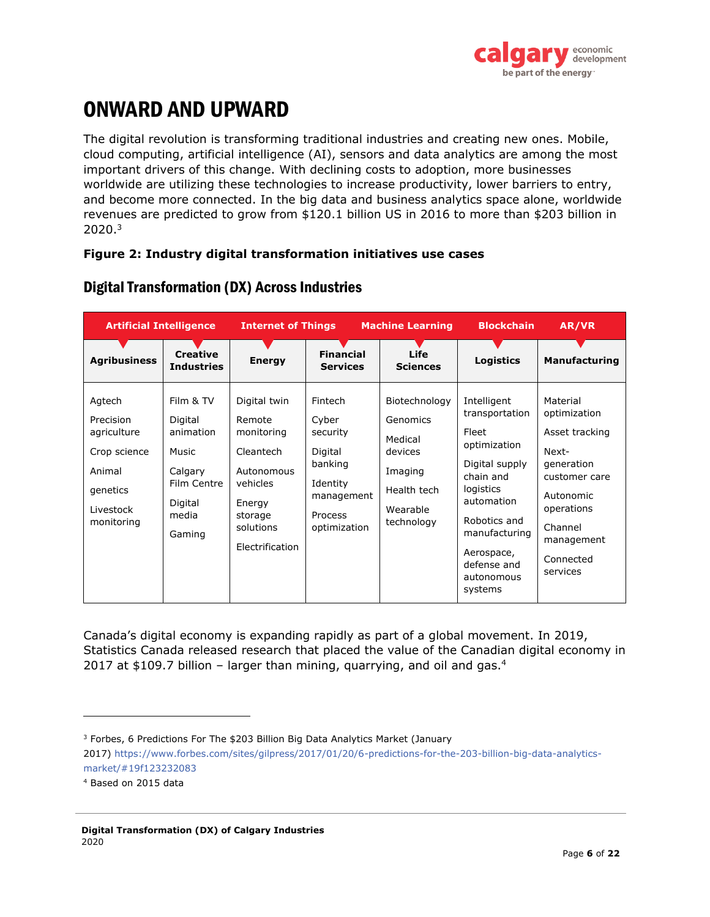

# <span id="page-6-0"></span>ONWARD AND UPWARD

The digital revolution is transforming traditional industries and creating new ones. Mobile, cloud computing, artificial intelligence (AI), sensors and data analytics are among the most important drivers of this change. With declining costs to adoption, more businesses worldwide are utilizing these technologies to increase productivity, lower barriers to entry, and become more connected. In the big data and business analytics space alone, worldwide revenues are predicted to grow from \$120.1 billion US in 2016 to more than \$203 billion in 2020. 3

#### **Figure 2: Industry digital transformation initiatives use cases**

| <b>Artificial Intelligence</b>                                                                      |                                                                                                    | <b>Internet of Things</b>                                                                                                        |                                                                                                         | <b>Machine Learning</b>                                                                             | <b>Blockchain</b>                                                                                                                                                                                       | AR/VR                                                                                                                                                           |
|-----------------------------------------------------------------------------------------------------|----------------------------------------------------------------------------------------------------|----------------------------------------------------------------------------------------------------------------------------------|---------------------------------------------------------------------------------------------------------|-----------------------------------------------------------------------------------------------------|---------------------------------------------------------------------------------------------------------------------------------------------------------------------------------------------------------|-----------------------------------------------------------------------------------------------------------------------------------------------------------------|
| <b>Agribusiness</b>                                                                                 | <b>Creative</b><br><b>Industries</b>                                                               | <b>Energy</b>                                                                                                                    | <b>Financial</b><br><b>Services</b>                                                                     | Life<br><b>Sciences</b>                                                                             | <b>Logistics</b>                                                                                                                                                                                        | <b>Manufacturing</b>                                                                                                                                            |
| Agtech<br>Precision<br>agriculture<br>Crop science<br>Animal<br>genetics<br>Livestock<br>monitoring | Film & TV<br>Digital<br>animation<br>Music<br>Calgary<br>Film Centre<br>Digital<br>media<br>Gaming | Digital twin<br>Remote<br>monitoring<br>Cleantech<br>Autonomous<br>vehicles<br>Energy<br>storage<br>solutions<br>Electrification | Fintech<br>Cyber<br>security<br>Digital<br>banking<br>Identity<br>management<br>Process<br>optimization | Biotechnology<br>Genomics<br>Medical<br>devices<br>Imaging<br>Health tech<br>Wearable<br>technology | Intelligent<br>transportation<br>Fleet<br>optimization<br>Digital supply<br>chain and<br>logistics<br>automation<br>Robotics and<br>manufacturing<br>Aerospace,<br>defense and<br>autonomous<br>systems | Material<br>optimization<br>Asset tracking<br>Next-<br>generation<br>customer care<br>Autonomic<br>operations<br>Channel<br>management<br>Connected<br>services |

## Digital Transformation (DX) Across Industries

Canada's digital economy is expanding rapidly as part of a global movement. In 2019, Statistics Canada released research that placed the value of the Canadian digital economy in 2017 at \$109.7 billion - larger than mining, quarrying, and oil and gas.<sup>4</sup>

<sup>&</sup>lt;sup>3</sup> Forbes, 6 Predictions For The \$203 Billion Big Data Analytics Market (January 2017) [https://www.forbes.com/sites/gilpress/2017/01/20/6-predictions-for-the-203-billion-big-data-analytics](https://www.forbes.com/sites/gilpress/2017/01/20/6-predictions-for-the-203-billion-big-data-analytics-market/#19f123232083)[market/#19f123232083](https://www.forbes.com/sites/gilpress/2017/01/20/6-predictions-for-the-203-billion-big-data-analytics-market/#19f123232083)

<sup>4</sup> Based on 2015 data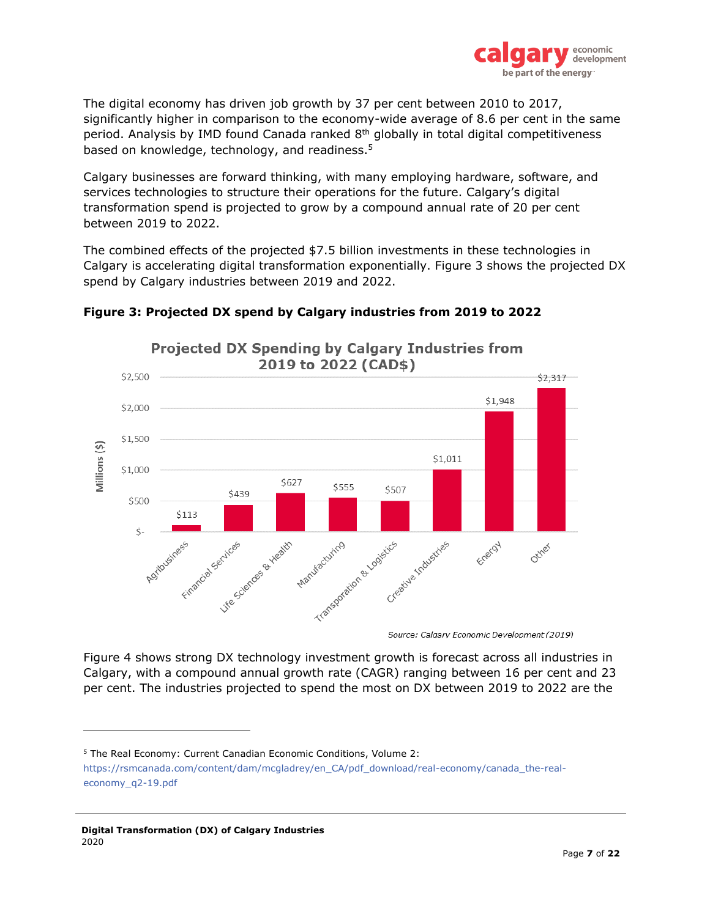

The digital economy has driven job growth by 37 per cent between 2010 to 2017, significantly higher in comparison to the economy-wide average of 8.6 per cent in the same period. Analysis by IMD found Canada ranked 8<sup>th</sup> globally in total digital competitiveness based on knowledge, technology, and readiness.<sup>5</sup>

Calgary businesses are forward thinking, with many employing hardware, software, and services technologies to structure their operations for the future. Calgary's digital transformation spend is projected to grow by a compound annual rate of 20 per cent between 2019 to 2022.

The combined effects of the projected \$7.5 billion investments in these technologies in Calgary is accelerating digital transformation exponentially. Figure 3 shows the projected DX spend by Calgary industries between 2019 and 2022.



## **Figure 3: Projected DX spend by Calgary industries from 2019 to 2022**

Source: Calgary Economic Development (2019)

Figure 4 shows strong DX technology investment growth is forecast across all industries in Calgary, with a compound annual growth rate (CAGR) ranging between 16 per cent and 23 per cent. The industries projected to spend the most on DX between 2019 to 2022 are the

<sup>5</sup> The Real Economy: Current Canadian Economic Conditions, Volume 2:

[https://rsmcanada.com/content/dam/mcgladrey/en\\_CA/pdf\\_download/real-economy/canada\\_the-real](https://rsmcanada.com/content/dam/mcgladrey/en_CA/pdf_download/real-economy/canada_the-real-economy_q2-19.pdf)[economy\\_q2-19.pdf](https://rsmcanada.com/content/dam/mcgladrey/en_CA/pdf_download/real-economy/canada_the-real-economy_q2-19.pdf)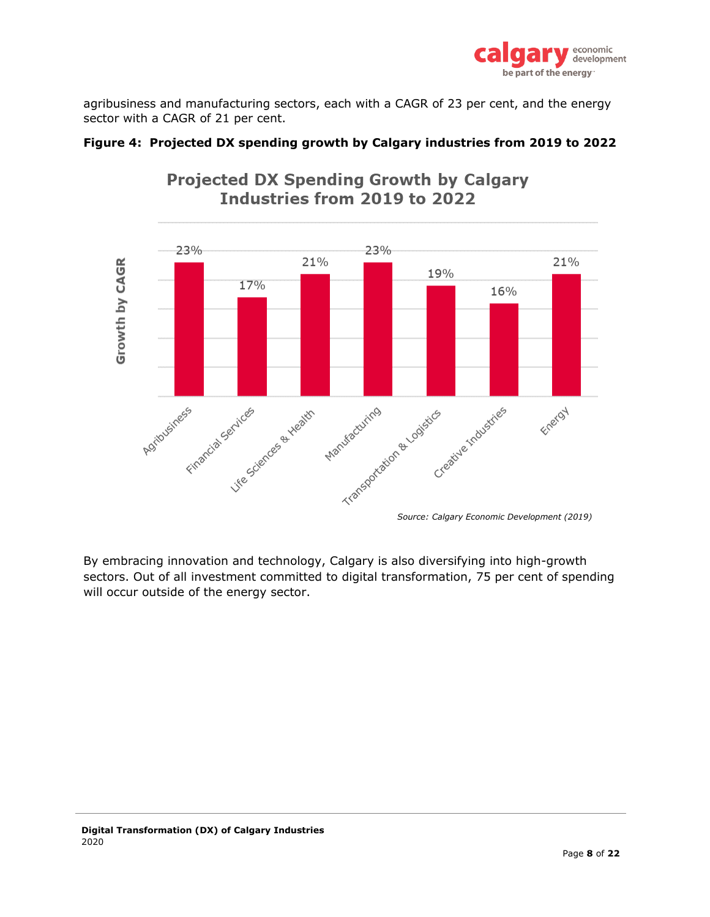

agribusiness and manufacturing sectors, each with a CAGR of 23 per cent, and the energy sector with a CAGR of 21 per cent.



## **Projected DX Spending Growth by Calgary** Industries from 2019 to 2022

**Figure 4: Projected DX spending growth by Calgary industries from 2019 to 2022**

By embracing innovation and technology, Calgary is also diversifying into high-growth sectors. Out of all investment committed to digital transformation, 75 per cent of spending will occur outside of the energy sector.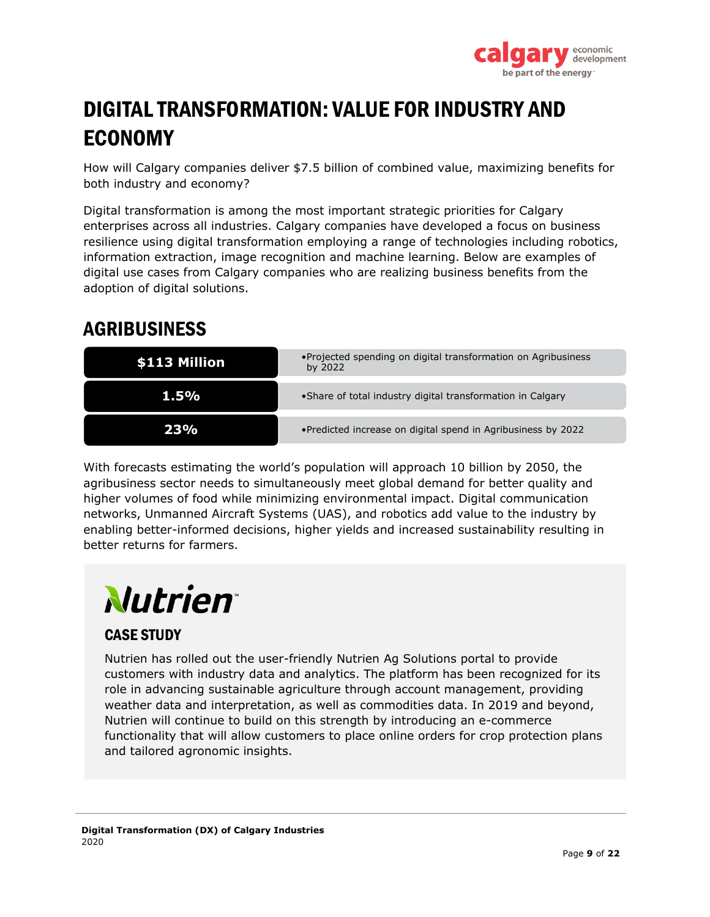

# <span id="page-9-0"></span>DIGITAL TRANSFORMATION: VALUE FOR INDUSTRY AND ECONOMY

How will Calgary companies deliver \$7.5 billion of combined value, maximizing benefits for both industry and economy?

Digital transformation is among the most important strategic priorities for Calgary enterprises across all industries. Calgary companies have developed a focus on business resilience using digital transformation employing a range of technologies including robotics, information extraction, image recognition and machine learning. Below are examples of digital use cases from Calgary companies who are realizing business benefits from the adoption of digital solutions.

# <span id="page-9-1"></span>AGRIBUSINESS

| \$113 Million | • Projected spending on digital transformation on Agribusiness<br>by 2022 |
|---------------|---------------------------------------------------------------------------|
| 1.5%          | • Share of total industry digital transformation in Calgary               |
|               | •Predicted increase on digital spend in Agribusiness by 2022              |

With forecasts estimating the world's population will approach 10 billion by 2050, the agribusiness sector needs to simultaneously meet global demand for better quality and higher volumes of food while minimizing environmental impact. Digital communication networks, Unmanned Aircraft Systems (UAS), and robotics add value to the industry by enabling better-informed decisions, higher yields and increased sustainability resulting in better returns for farmers.

# **Nutrien**

## CASE STUDY

Nutrien has rolled out the user-friendly Nutrien Ag Solutions portal to provide customers with industry data and analytics. The platform has been recognized for its role in advancing sustainable agriculture through account management, providing weather data and interpretation, as well as commodities data. In 2019 and beyond, Nutrien will continue to build on this strength by introducing an e-commerce functionality that will allow customers to place online orders for crop protection plans and tailored agronomic insights.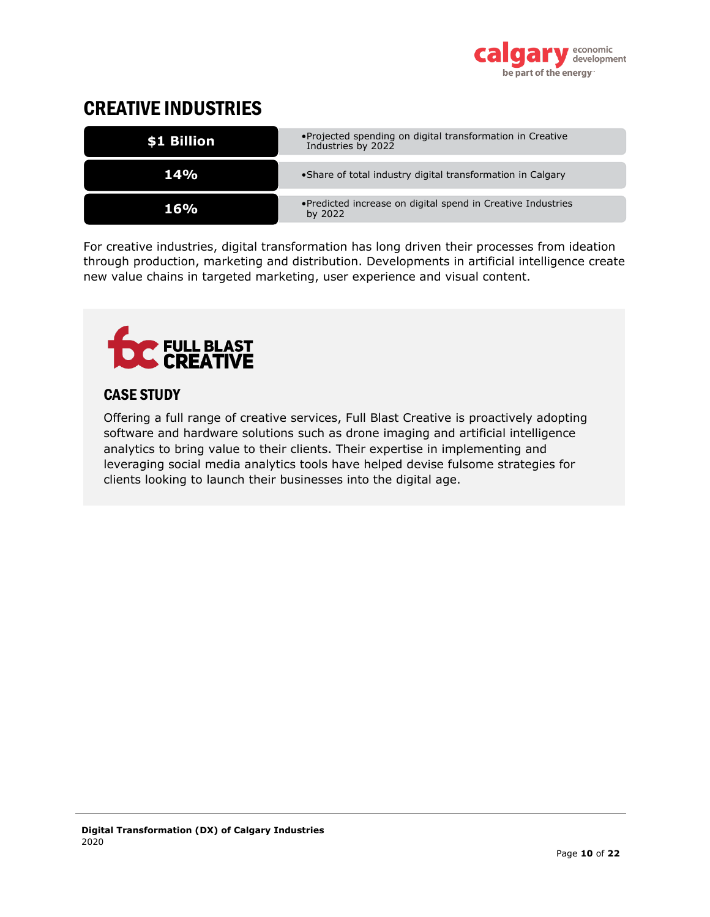

# <span id="page-10-0"></span>CREATIVE INDUSTRIES

| \$1 Billion | • Projected spending on digital transformation in Creative<br>Industries by 2022 |
|-------------|----------------------------------------------------------------------------------|
| 14%         | • Share of total industry digital transformation in Calgary                      |
| 16%         | • Predicted increase on digital spend in Creative Industries<br>by 2022          |

For creative industries, digital transformation has long driven their processes from ideation through production, marketing and distribution. Developments in artificial intelligence create new value chains in targeted marketing, user experience and visual content.



## CASE STUDY

Offering a full range of creative services, Full Blast Creative is proactively adopting software and hardware solutions such as drone imaging and artificial intelligence analytics to bring value to their clients. Their expertise in implementing and leveraging social media analytics tools have helped devise fulsome strategies for clients looking to launch their businesses into the digital age.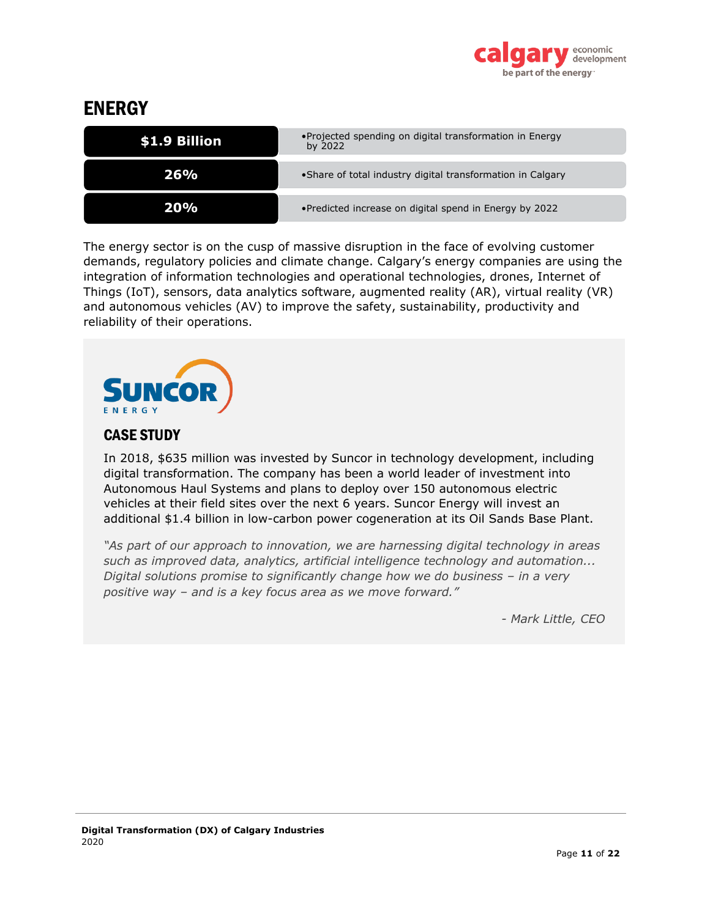

## <span id="page-11-0"></span>**ENERGY**

| \$1.9 Billion | • Projected spending on digital transformation in Energy<br>by 2022 |
|---------------|---------------------------------------------------------------------|
| 26%           | • Share of total industry digital transformation in Calgary         |
| משמע          | • Predicted increase on digital spend in Energy by 2022             |

The energy sector is on the cusp of massive disruption in the face of evolving customer demands, regulatory policies and climate change. Calgary's energy companies are using the integration of information technologies and operational technologies, drones, Internet of Things (IoT), sensors, data analytics software, augmented reality (AR), virtual reality (VR) and autonomous vehicles (AV) to improve the safety, sustainability, productivity and reliability of their operations.



## CASE STUDY

In 2018, \$635 million was invested by Suncor in technology development, including digital transformation. The company has been a world leader of investment into Autonomous Haul Systems and plans to deploy over 150 autonomous electric vehicles at their field sites over the next 6 years. Suncor Energy will invest an additional \$1.4 billion in low-carbon power cogeneration at its Oil Sands Base Plant.

*"As part of our approach to innovation, we are harnessing digital technology in areas such as improved data, analytics, artificial intelligence technology and automation... Digital solutions promise to significantly change how we do business – in a very positive way – and is a key focus area as we move forward."*

*- Mark Little, CEO*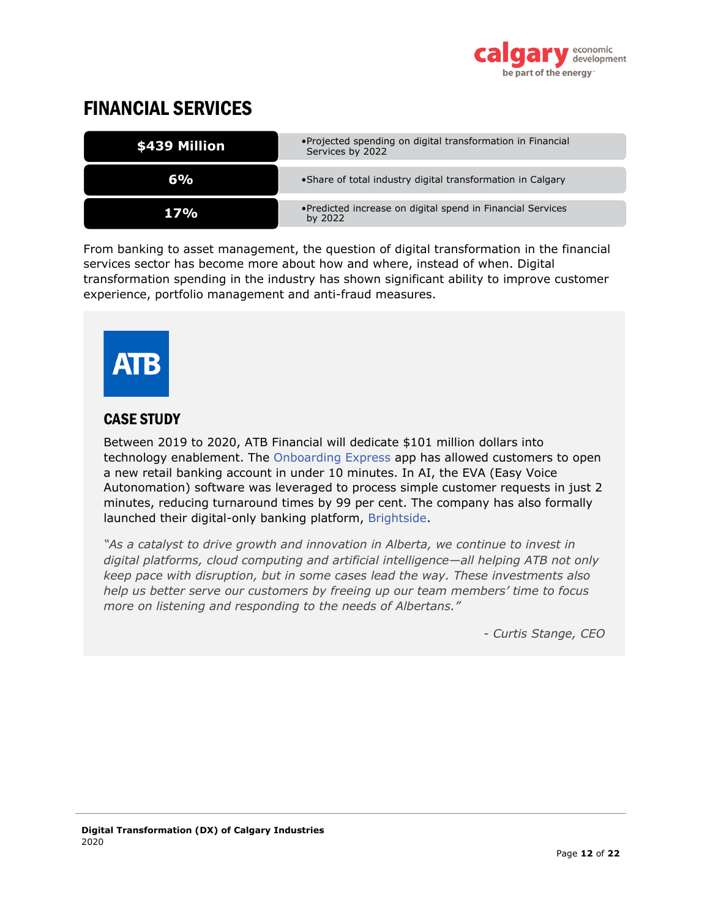

## <span id="page-12-0"></span>FINANCIAL SERVICES

| <b>\$439 Million</b> | • Projected spending on digital transformation in Financial<br>Services by 2022 |
|----------------------|---------------------------------------------------------------------------------|
| 6%                   | • Share of total industry digital transformation in Calgary                     |
| 7%                   | • Predicted increase on digital spend in Financial Services<br>by 2022          |

From banking to asset management, the question of digital transformation in the financial services sector has become more about how and where, instead of when. Digital transformation spending in the industry has shown significant ability to improve customer experience, portfolio management and anti-fraud measures.



## CASE STUDY

Between 2019 to 2020, ATB Financial will dedicate \$101 million dollars into technology enablement. The [Onboarding Express](https://alphabeta.atb.com/article/customer-onboarding-in-the-era-of-apps-all-aboard-the-onboarding-express/) app has allowed customers to open a new retail banking account in under 10 minutes. In AI, the EVA (Easy Voice Autonomation) software was leveraged to process simple customer requests in just 2 minutes, reducing turnaround times by 99 per cent. The company has also formally launched their digital-only banking platform, [Brightside.](https://www.hibrightside.ca/)

*"As a catalyst to drive growth and innovation in Alberta, we continue to invest in digital platforms, cloud computing and artificial intelligence—all helping ATB not only keep pace with disruption, but in some cases lead the way. These investments also help us better serve our customers by freeing up our team members' time to focus more on listening and responding to the needs of Albertans."*

*- Curtis Stange, CEO*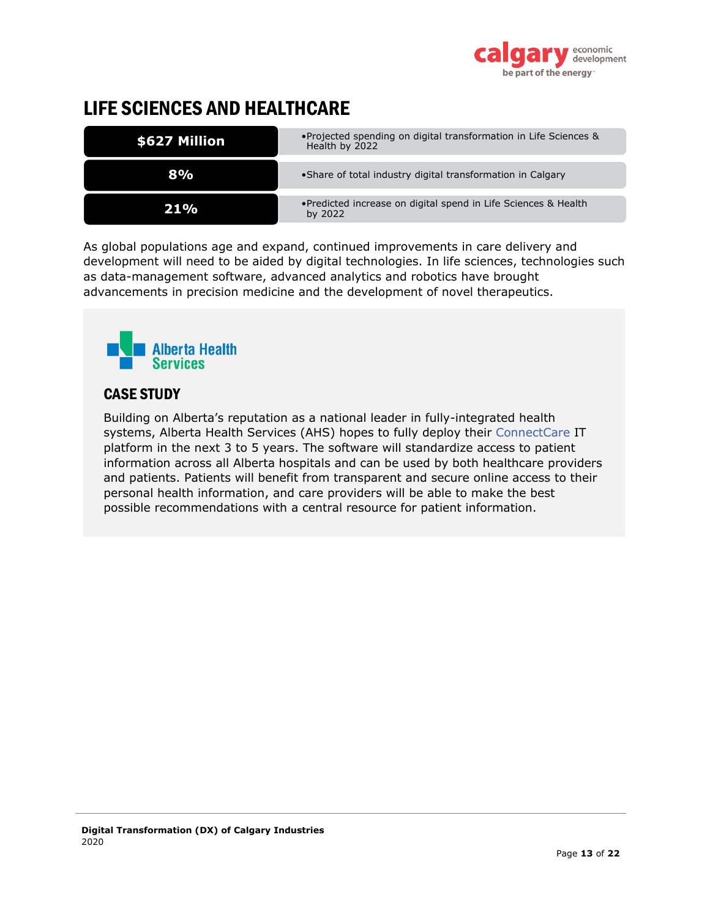

# <span id="page-13-0"></span>LIFE SCIENCES AND HEALTHCARE

| \$627 Million | • Projected spending on digital transformation in Life Sciences &<br>Health by 2022 |
|---------------|-------------------------------------------------------------------------------------|
| 8%            | • Share of total industry digital transformation in Calgary                         |
| 21 %          | • Predicted increase on digital spend in Life Sciences & Health<br>by 2022          |

As global populations age and expand, continued improvements in care delivery and development will need to be aided by digital technologies. In life sciences, technologies such as data-management software, advanced analytics and robotics have brought advancements in precision medicine and the development of novel therapeutics.



## CASE STUDY

Building on Alberta's reputation as a national leader in fully-integrated health systems, Alberta Health Services (AHS) hopes to fully deploy their [ConnectCare](https://www.albertahealthservices.ca/info/cis.aspx) IT platform in the next 3 to 5 years. The software will standardize access to patient information across all Alberta hospitals and can be used by both healthcare providers and patients. Patients will benefit from transparent and secure online access to their personal health information, and care providers will be able to make the best possible recommendations with a central resource for patient information.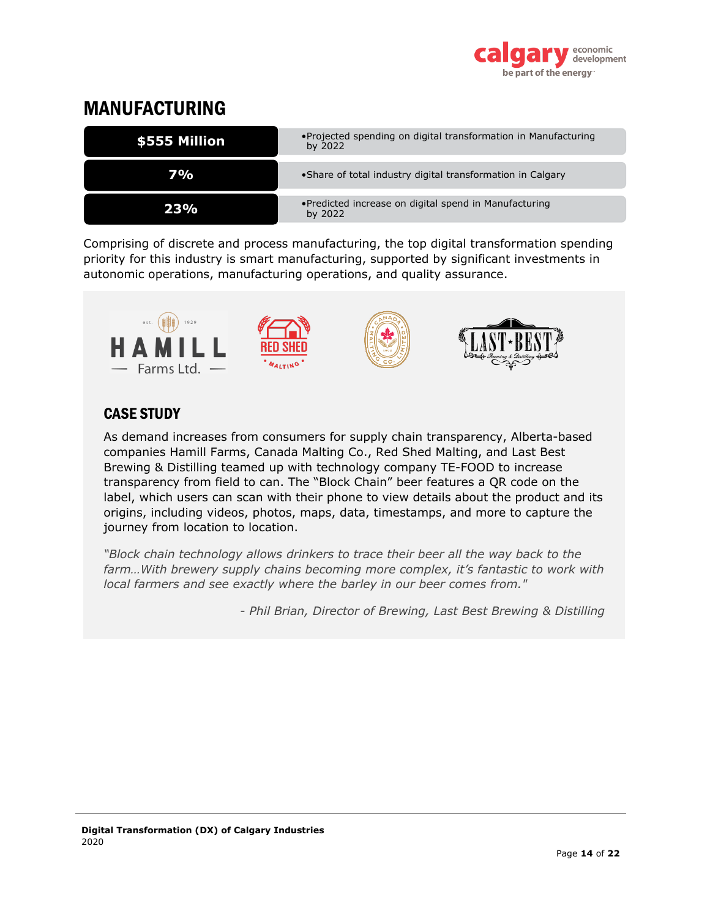

## <span id="page-14-0"></span>MANUFACTURING



Comprising of discrete and process manufacturing, the top digital transformation spending priority for this industry is smart manufacturing, supported by significant investments in autonomic operations, manufacturing operations, and quality assurance.



## CASE STUDY

As demand increases from consumers for supply chain transparency, Alberta-based companies Hamill Farms, Canada Malting Co., Red Shed Malting, and Last Best Brewing & Distilling teamed up with technology company TE-FOOD to increase transparency from field to can. The "Block Chain" beer features a QR code on the label, which users can scan with their phone to view details about the product and its origins, including videos, photos, maps, data, timestamps, and more to capture the journey from location to location.

*"Block chain technology allows drinkers to trace their beer all the way back to the farm…With brewery supply chains becoming more complex, it's fantastic to work with local farmers and see exactly where the barley in our beer comes from."*

*- Phil Brian, Director of Brewing, Last Best Brewing & Distilling*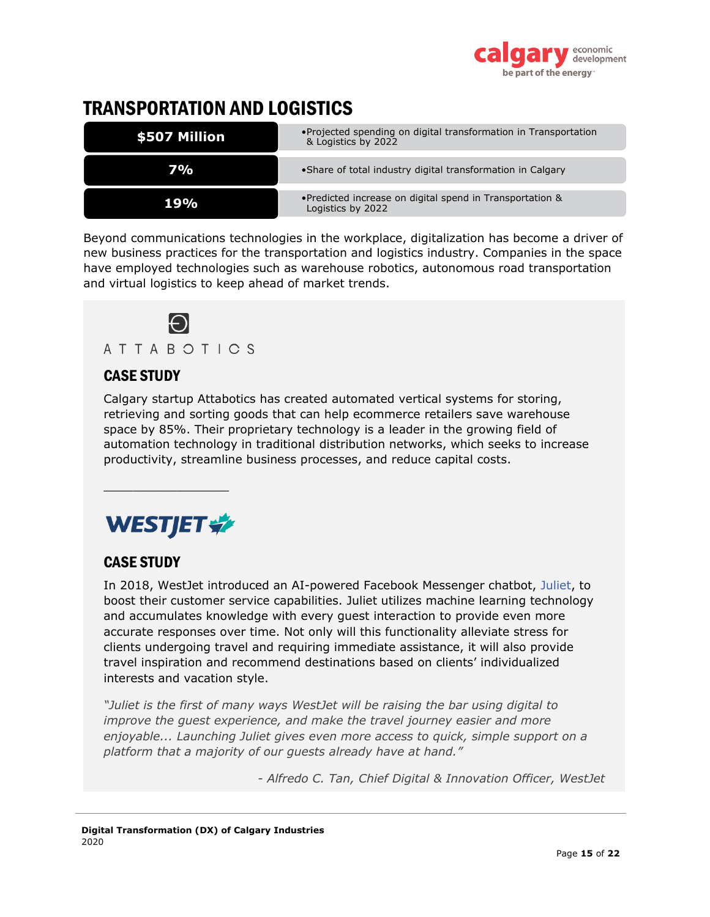

# <span id="page-15-0"></span>TRANSPORTATION AND LOGISTICS

| \$507 Million | • Projected spending on digital transformation in Transportation<br>& Logistics by 2022 |
|---------------|-----------------------------------------------------------------------------------------|
| 7% <u>.</u>   | • Share of total industry digital transformation in Calgary                             |
| 19%           | •Predicted increase on digital spend in Transportation &<br>Logistics by 2022           |

Beyond communications technologies in the workplace, digitalization has become a driver of new business practices for the transportation and logistics industry. Companies in the space have employed technologies such as warehouse robotics, autonomous road transportation and virtual logistics to keep ahead of market trends.



## CASE STUDY

Calgary startup Attabotics has created automated vertical systems for storing, retrieving and sorting goods that can help ecommerce retailers save warehouse space by 85%. Their proprietary technology is a leader in the growing field of automation technology in traditional distribution networks, which seeks to increase productivity, streamline business processes, and reduce capital costs.

# **WESTJET \***

\_\_\_\_\_\_\_\_\_\_\_\_\_\_\_\_\_

## CASE STUDY

In 2018, WestJet introduced an AI-powered Facebook Messenger chatbot, [Juliet,](https://www.westjet.com/en-ca/contact-us/juliet) to boost their customer service capabilities. Juliet utilizes machine learning technology and accumulates knowledge with every guest interaction to provide even more accurate responses over time. Not only will this functionality alleviate stress for clients undergoing travel and requiring immediate assistance, it will also provide travel inspiration and recommend destinations based on clients' individualized interests and vacation style.

*"Juliet is the first of many ways WestJet will be raising the bar using digital to improve the guest experience, and make the travel journey easier and more enjoyable... Launching Juliet gives even more access to quick, simple support on a platform that a majority of our guests already have at hand."*

*- Alfredo C. Tan, Chief Digital & Innovation Officer, WestJet*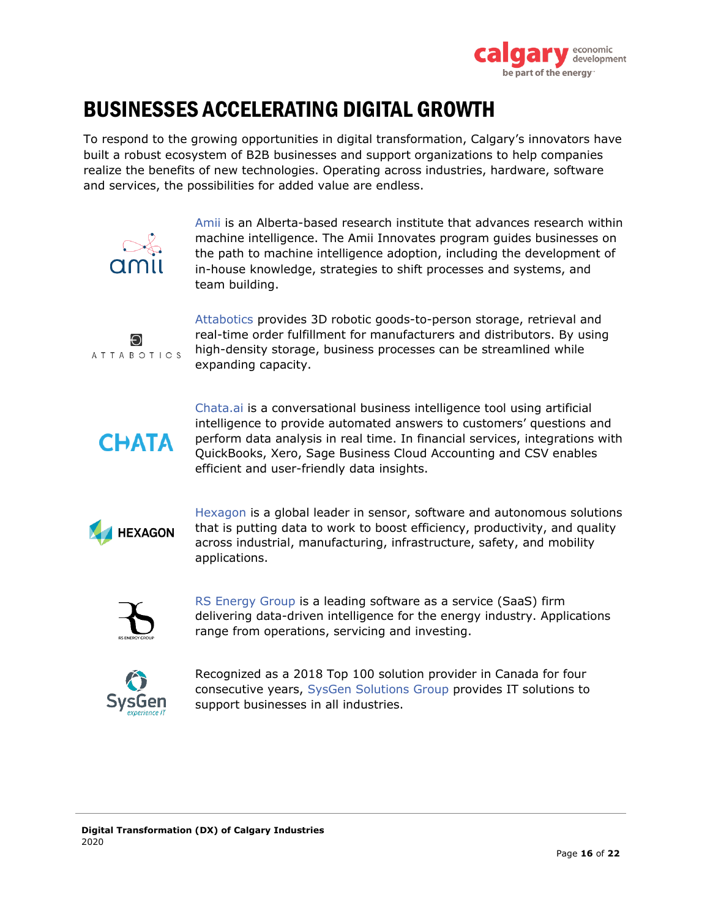

# <span id="page-16-0"></span>BUSINESSES ACCELERATING DIGITAL GROWTH

To respond to the growing opportunities in digital transformation, Calgary's innovators have built a robust ecosystem of B2B businesses and support organizations to help companies realize the benefits of new technologies. Operating across industries, hardware, software and services, the possibilities for added value are endless.



[Amii](https://www.amii.ca/) is an Alberta-based research institute that advances research within machine intelligence. The Amii Innovates program guides businesses on the path to machine intelligence adoption, including the development of in-house knowledge, strategies to shift processes and systems, and team building.



[Attabotics](https://www.attabotics.com/) provides 3D robotic goods-to-person storage, retrieval and real-time order fulfillment for manufacturers and distributors. By using high-density storage, business processes can be streamlined while expanding capacity.



[Chata.ai](https://chata.ai/) is a conversational business intelligence tool using artificial intelligence to provide automated answers to customers' questions and perform data analysis in real time. In financial services, integrations with QuickBooks, Xero, Sage Business Cloud Accounting and CSV enables efficient and user-friendly data insights.



[Hexagon](https://hexagonpositioning.com/) is a global leader in sensor, software and autonomous solutions that is putting data to work to boost efficiency, productivity, and quality across industrial, manufacturing, infrastructure, safety, and mobility applications.



[RS Energy Group](https://www.rseg.com/) is a leading software as a service (SaaS) firm delivering data-driven intelligence for the energy industry. Applications range from operations, servicing and investing.



Recognized as a 2018 Top 100 solution provider in Canada for four consecutive years, [SysGen Solutions Group](https://sysgen.ca/) provides IT solutions to support businesses in all industries.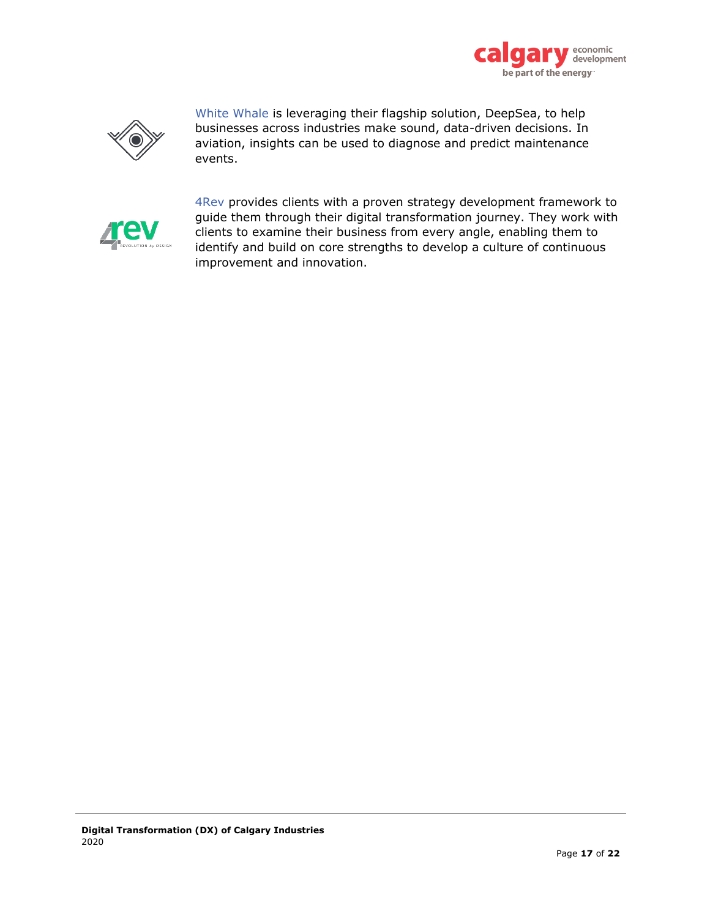



White [Whale](https://whitewhale.ai/) is leveraging their flagship solution, DeepSea, to help businesses across industries make sound, data-driven decisions. In aviation, insights can be used to diagnose and predict maintenance events.



[4Rev](https://4rev.io/about-us/) provides clients with a proven strategy development framework to guide them through their digital transformation journey. They work with clients to examine their business from every angle, enabling them to identify and build on core strengths to develop a culture of continuous improvement and innovation.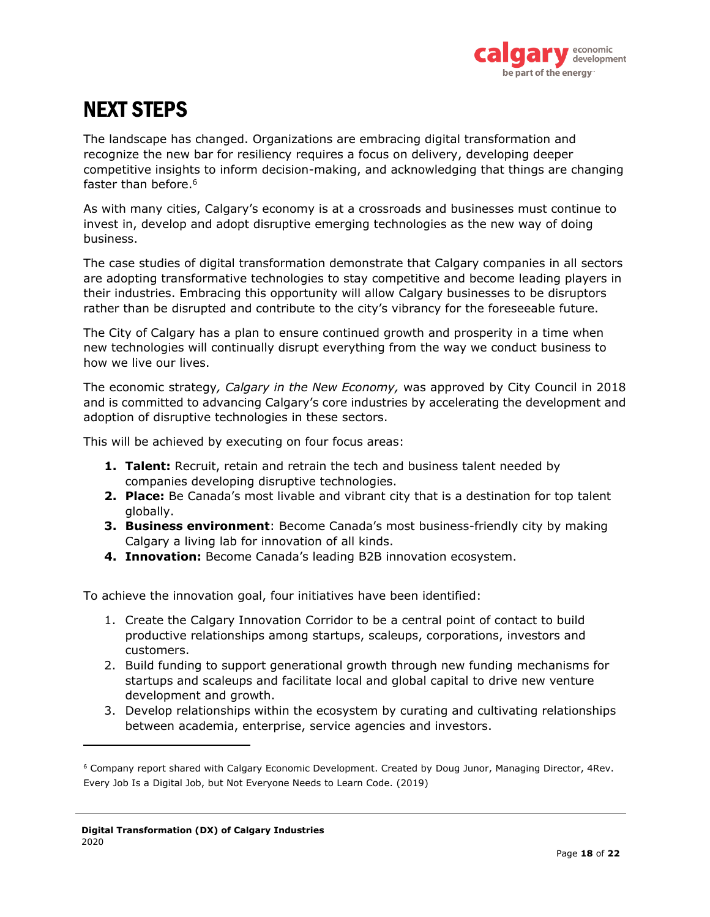

# <span id="page-18-0"></span>NEXT STEPS

The landscape has changed. Organizations are embracing digital transformation and recognize the new bar for resiliency requires a focus on delivery, developing deeper competitive insights to inform decision-making, and acknowledging that things are changing faster than before.<sup>6</sup>

As with many cities, Calgary's economy is at a crossroads and businesses must continue to invest in, develop and adopt disruptive emerging technologies as the new way of doing business.

The case studies of digital transformation demonstrate that Calgary companies in all sectors are adopting transformative technologies to stay competitive and become leading players in their industries. Embracing this opportunity will allow Calgary businesses to be disruptors rather than be disrupted and contribute to the city's vibrancy for the foreseeable future.

The City of Calgary has a plan to ensure continued growth and prosperity in a time when new technologies will continually disrupt everything from the way we conduct business to how we live our lives.

The economic strategy*, Calgary in the New Economy,* was approved by City Council in 2018 and is committed to advancing Calgary's core industries by accelerating the development and adoption of disruptive technologies in these sectors.

This will be achieved by executing on four focus areas:

- **1. Talent:** Recruit, retain and retrain the tech and business talent needed by companies developing disruptive technologies.
- **2. Place:** Be Canada's most livable and vibrant city that is a destination for top talent globally.
- **3. Business environment**: Become Canada's most business-friendly city by making Calgary a living lab for innovation of all kinds.
- **4. Innovation:** Become Canada's leading B2B innovation ecosystem.

To achieve the innovation goal, four initiatives have been identified:

- 1. Create the Calgary Innovation Corridor to be a central point of contact to build productive relationships among startups, scaleups, corporations, investors and customers.
- 2. Build funding to support generational growth through new funding mechanisms for startups and scaleups and facilitate local and global capital to drive new venture development and growth.
- 3. Develop relationships within the ecosystem by curating and cultivating relationships between academia, enterprise, service agencies and investors.

<sup>6</sup> Company report shared with Calgary Economic Development. Created by Doug Junor, Managing Director, 4Rev. Every Job Is a Digital Job, but Not Everyone Needs to Learn Code. (2019)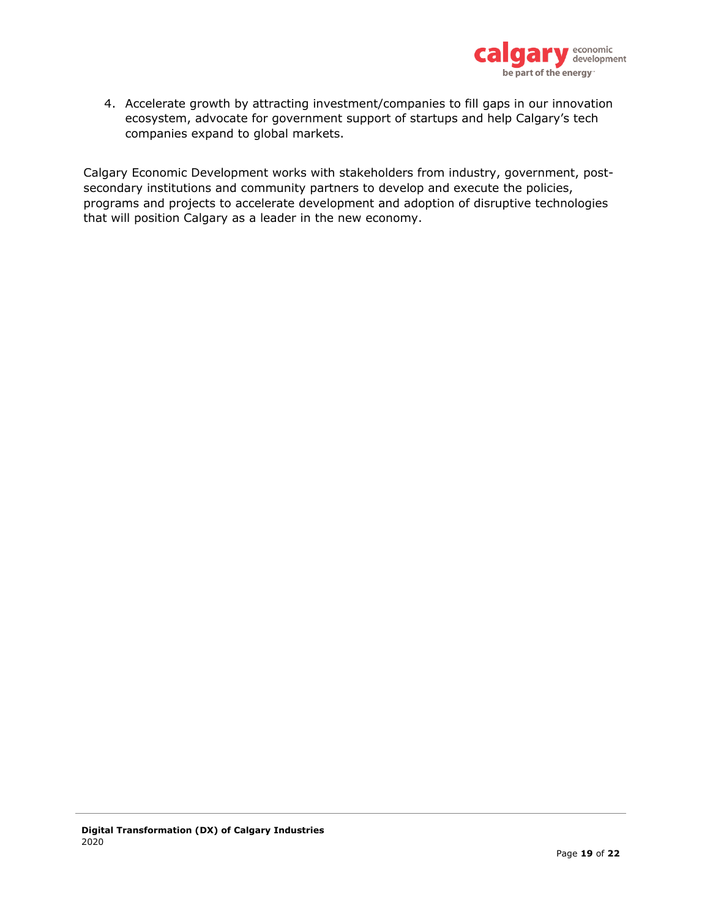

4. Accelerate growth by attracting investment/companies to fill gaps in our innovation ecosystem, advocate for government support of startups and help Calgary's tech companies expand to global markets.

Calgary Economic Development works with stakeholders from industry, government, postsecondary institutions and community partners to develop and execute the policies, programs and projects to accelerate development and adoption of disruptive technologies that will position Calgary as a leader in the new economy.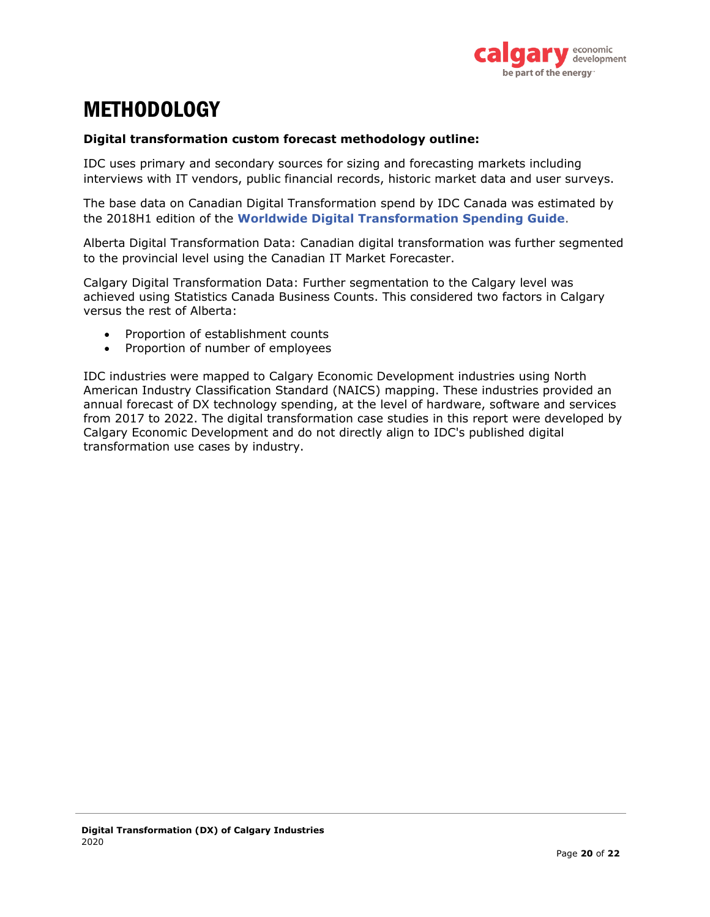

# <span id="page-20-0"></span>**METHODOLOGY**

#### **Digital transformation custom forecast methodology outline:**

IDC uses primary and secondary sources for sizing and forecasting markets including interviews with IT vendors, public financial records, historic market data and user surveys.

The base data on Canadian Digital Transformation spend by IDC Canada was estimated by the 2018H1 edition of the **[Worldwide Digital Transformation Spending Guide](https://www.idc.com/getdoc.jsp?containerId=IDC_P32575)**.

Alberta Digital Transformation Data: Canadian digital transformation was further segmented to the provincial level using the Canadian IT Market Forecaster.

Calgary Digital Transformation Data: Further segmentation to the Calgary level was achieved using Statistics Canada Business Counts. This considered two factors in Calgary versus the rest of Alberta:

- Proportion of establishment counts
- Proportion of number of employees

IDC industries were mapped to Calgary Economic Development industries using North American Industry Classification Standard (NAICS) mapping. These industries provided an annual forecast of DX technology spending, at the level of hardware, software and services from 2017 to 2022. The digital transformation case studies in this report were developed by Calgary Economic Development and do not directly align to IDC's published digital transformation use cases by industry.